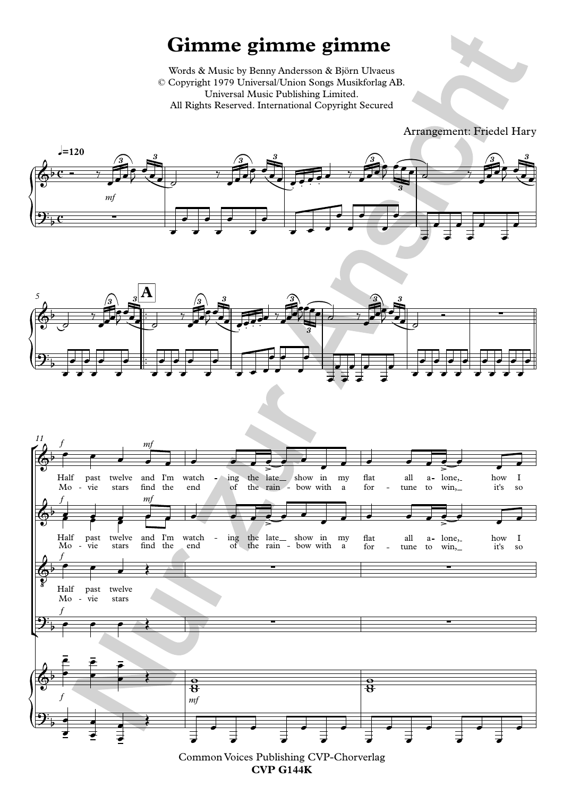## **Gimme gimme gimme**

Words & Music by Benny Andersson & Björn Ulvaeus © Copyright 1979 Universal/Union Songs Musikforlag AB. Universal Music Publishing Limited. All Rights Reserved. International Copyright Secured

Arrangement: Friedel Hary







**CVP G144K**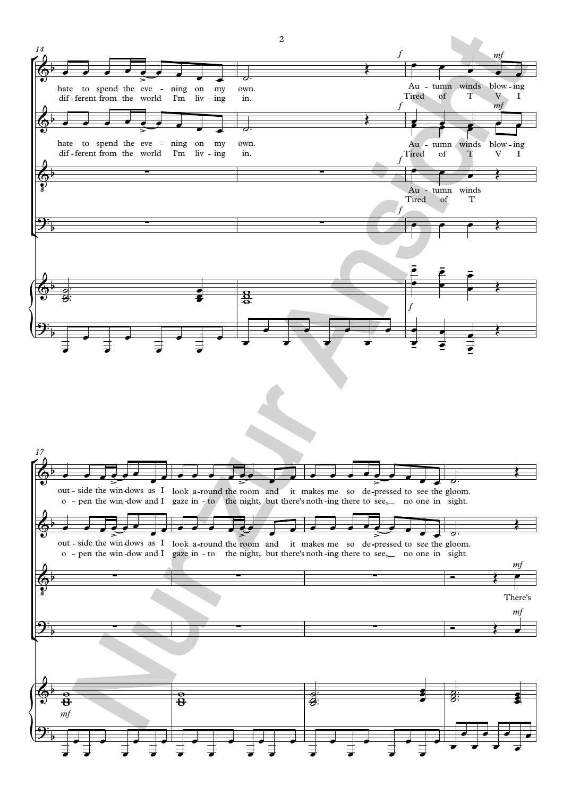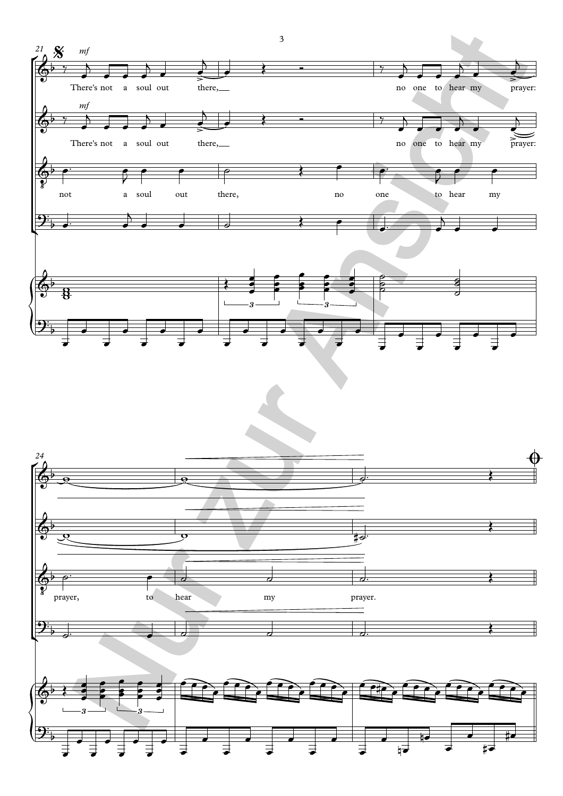

3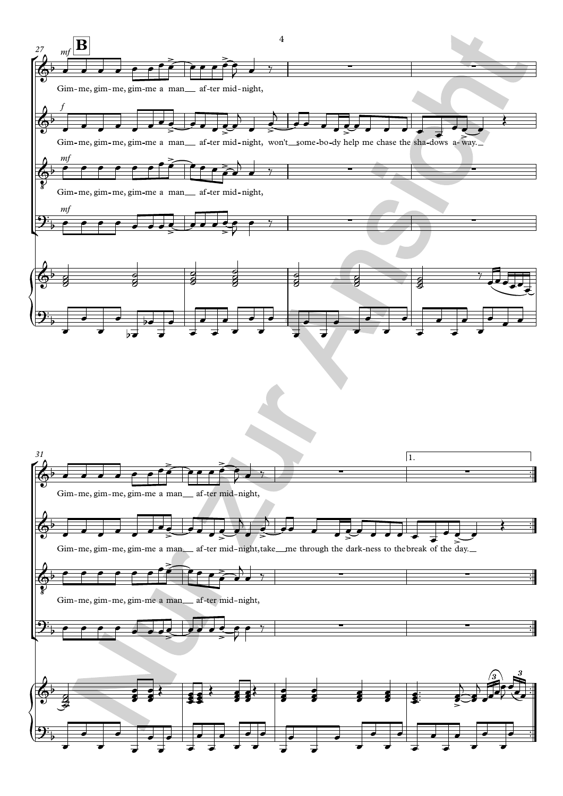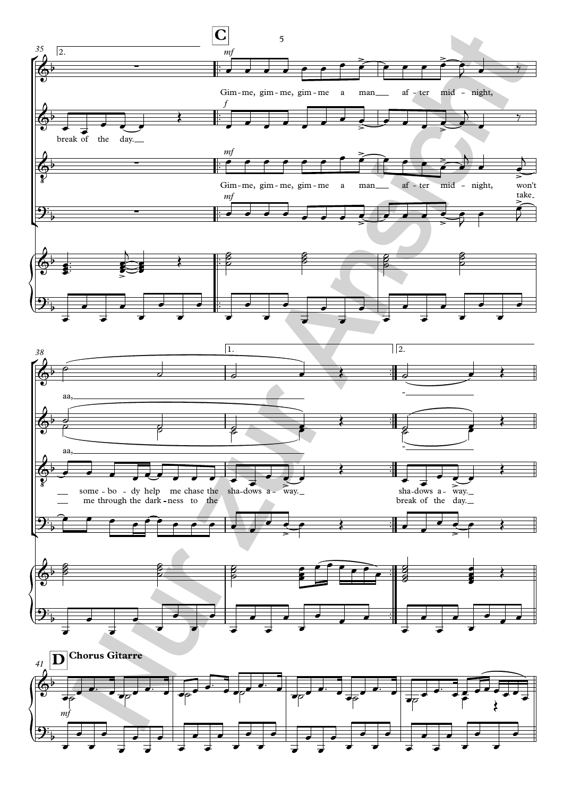